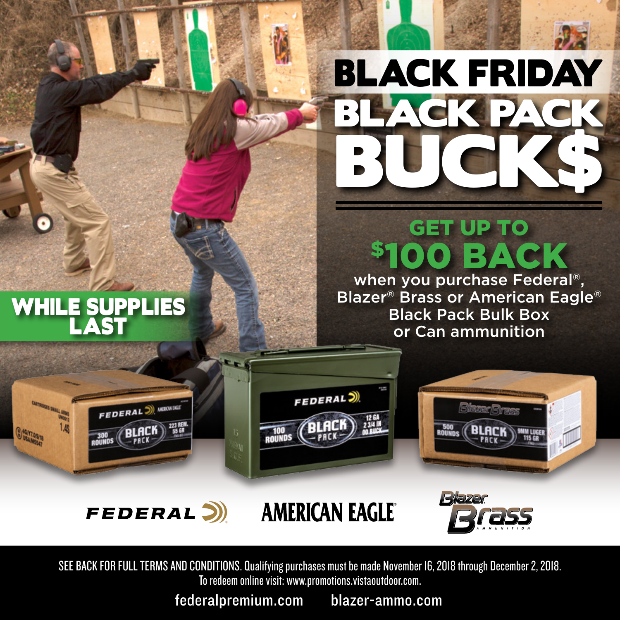

# GET UP TO \$100 BACK

when you purchase Federal®, Blazer® Brass or American Eagle® Black Pack Bulk Box or Can ammunition

## WHILE SUPPLIES LAST





FEDERAL<sup>(2)</sup>

FEDERAL J. MEDINGAT

**BLACK** 

**223 REI**<br>SS GR

**AMERICAN EAGLE** 



SEE BACK FOR FULL TERMS AND CONDITIONS. Qualifying purchases must be made November 16, 2018 through December 2, 2018. To redeem online visit: www.promotions.vistaoutdoor.com.

federalpremium.com blazer-ammo.com